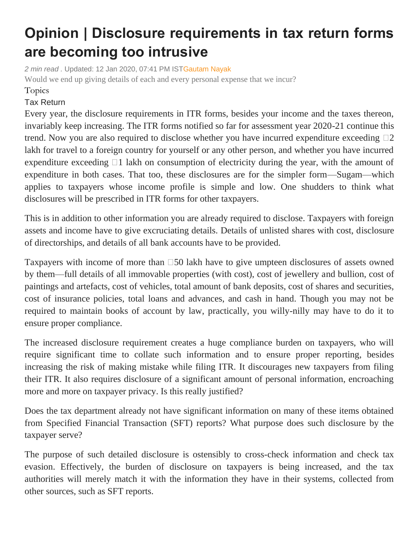## **Opinion | Disclosure requirements in tax return forms are becoming too intrusive**

*2 min read .* Updated: 12 Jan 2020, 07:41 PM IS[TGautam Nayak](https://www.livemint.com/Search/Link/Author/Gautam%20Nayak) Would we end up giving details of each and every personal expense that we incur?

## Topics

## Tax [Return](https://www.livemint.com/topic/tax-return)

Every year, the disclosure requirements in ITR forms, besides your income and the taxes thereon, invariably keep increasing. The ITR forms notified so far for assessment year 2020-21 continue this trend. Now you are also required to disclose whether you have incurred expenditure exceeding  $\square$ 2 lakh for travel to a foreign country for yourself or any other person, and whether you have incurred expenditure exceeding  $\Box$  lakh on consumption of electricity during the year, with the amount of expenditure in both cases. That too, these disclosures are for the simpler form—Sugam—which applies to taxpayers whose income profile is simple and low. One shudders to think what disclosures will be prescribed in ITR forms for other taxpayers.

This is in addition to other information you are already required to disclose. Taxpayers with foreign assets and income have to give excruciating details. Details of unlisted shares with cost, disclosure of directorships, and details of all bank accounts have to be provided.

Taxpayers with income of more than  $\square$ 50 lakh have to give umpteen disclosures of assets owned by them—full details of all immovable properties (with cost), cost of jewellery and bullion, cost of paintings and artefacts, cost of vehicles, total amount of bank deposits, cost of shares and securities, cost of insurance policies, total loans and advances, and cash in hand. Though you may not be required to maintain books of account by law, practically, you willy-nilly may have to do it to ensure proper compliance.

The increased disclosure requirement creates a huge compliance burden on taxpayers, who will require significant time to collate such information and to ensure proper reporting, besides increasing the risk of making mistake while filing ITR. It discourages new taxpayers from filing their ITR. It also requires disclosure of a significant amount of personal information, encroaching more and more on taxpayer privacy. Is this really justified?

Does the tax department already not have significant information on many of these items obtained from Specified Financial Transaction (SFT) reports? What purpose does such disclosure by the taxpayer serve?

The purpose of such detailed disclosure is ostensibly to cross-check information and check tax evasion. Effectively, the burden of disclosure on taxpayers is being increased, and the tax authorities will merely match it with the information they have in their systems, collected from other sources, such as SFT reports.